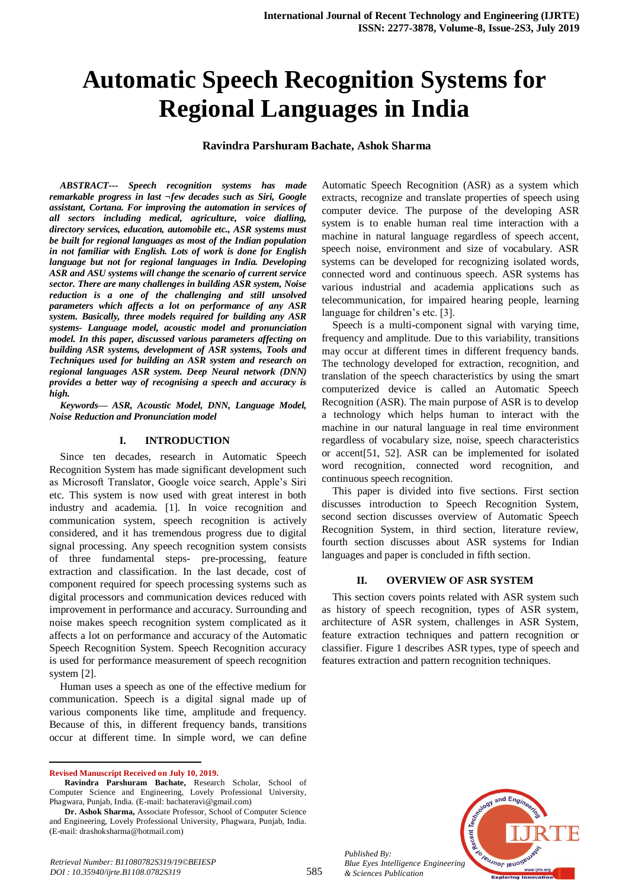# **Automatic Speech Recognition Systems for Regional Languages in India**

## **Ravindra Parshuram Bachate, Ashok Sharma**

*ABSTRACT--- Speech recognition systems has made remarkable progress in last ¬few decades such as Siri, Google assistant, Cortana. For improving the automation in services of all sectors including medical, agriculture, voice dialling, directory services, education, automobile etc., ASR systems must be built for regional languages as most of the Indian population in not familiar with English. Lots of work is done for English language but not for regional languages in India. Developing ASR and ASU systems will change the scenario of current service sector. There are many challenges in building ASR system, Noise reduction is a one of the challenging and still unsolved parameters which affects a lot on performance of any ASR system. Basically, three models required for building any ASR systems- Language model, acoustic model and pronunciation model. In this paper, discussed various parameters affecting on building ASR systems, development of ASR systems, Tools and Techniques used for building an ASR system and research on regional languages ASR system. Deep Neural network (DNN) provides a better way of recognising a speech and accuracy is high.* 

*Keywords— ASR, Acoustic Model, DNN, Language Model, Noise Reduction and Pronunciation model*

#### **I. INTRODUCTION**

Since ten decades, research in Automatic Speech Recognition System has made significant development such as Microsoft Translator, Google voice search, Apple's Siri etc. This system is now used with great interest in both industry and academia. [1]. In voice recognition and communication system, speech recognition is actively considered, and it has tremendous progress due to digital signal processing. Any speech recognition system consists of three fundamental steps- pre-processing, feature extraction and classification. In the last decade, cost of component required for speech processing systems such as digital processors and communication devices reduced with improvement in performance and accuracy. Surrounding and noise makes speech recognition system complicated as it affects a lot on performance and accuracy of the Automatic Speech Recognition System. Speech Recognition accuracy is used for performance measurement of speech recognition system [2].

Human uses a speech as one of the effective medium for communication. Speech is a digital signal made up of various components like time, amplitude and frequency. Because of this, in different frequency bands, transitions occur at different time. In simple word, we can define

 $\overline{a}$ 

Automatic Speech Recognition (ASR) as a system which extracts, recognize and translate properties of speech using computer device. The purpose of the developing ASR system is to enable human real time interaction with a machine in natural language regardless of speech accent, speech noise, environment and size of vocabulary. ASR systems can be developed for recognizing isolated words, connected word and continuous speech. ASR systems has various industrial and academia applications such as telecommunication, for impaired hearing people, learning language for children's etc. [3].

Speech is a multi-component signal with varying time, frequency and amplitude. Due to this variability, transitions may occur at different times in different frequency bands. The technology developed for extraction, recognition, and translation of the speech characteristics by using the smart computerized device is called an Automatic Speech Recognition (ASR). The main purpose of ASR is to develop a technology which helps human to interact with the machine in our natural language in real time environment regardless of vocabulary size, noise, speech characteristics or accent[51, 52]. ASR can be implemented for isolated word recognition, connected word recognition, and continuous speech recognition.

This paper is divided into five sections. First section discusses introduction to Speech Recognition System, second section discusses overview of Automatic Speech Recognition System, in third section, literature review, fourth section discusses about ASR systems for Indian languages and paper is concluded in fifth section.

#### **II. OVERVIEW OF ASR SYSTEM**

This section covers points related with ASR system such as history of speech recognition, types of ASR system, architecture of ASR system, challenges in ASR System, feature extraction techniques and pattern recognition or classifier. Figure 1 describes ASR types, type of speech and features extraction and pattern recognition techniques.



*Published By: Blue Eyes Intelligence Engineering & Sciences Publication* 

**Revised Manuscript Received on July 10, 2019.**

**Ravindra Parshuram Bachate,** Research Scholar, School of Computer Science and Engineering, Lovely Professional University, Phagwara, Punjab, India. (E-mail: bachateravi@gmail.com)

**Dr. Ashok Sharma,** Associate Professor, School of Computer Science and Engineering, Lovely Professional University, Phagwara, Punjab, India. (E-mail: drashoksharma@hotmail.com)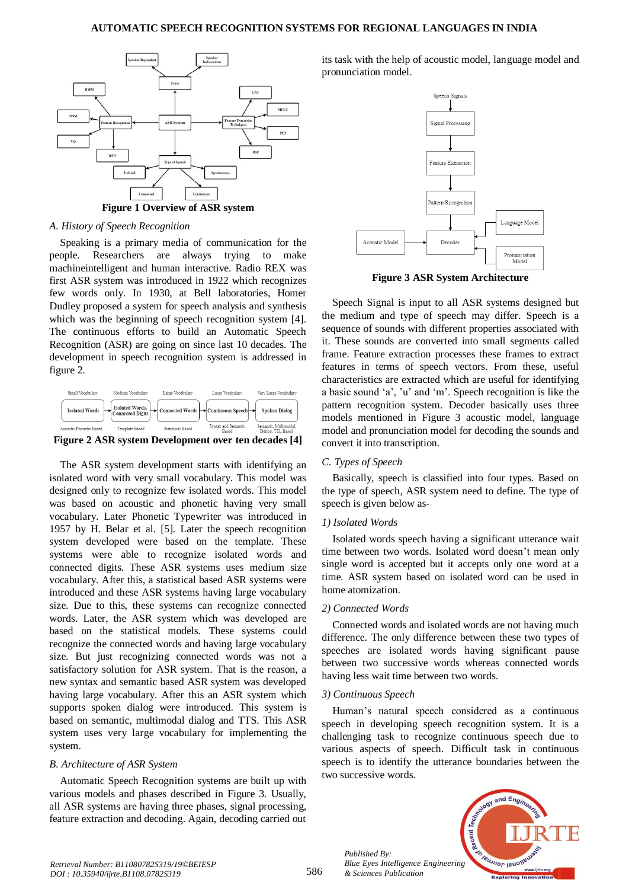#### **AUTOMATIC SPEECH RECOGNITION SYSTEMS FOR REGIONAL LANGUAGES IN INDIA**



### *A. History of Speech Recognition*

Speaking is a primary media of communication for the people. Researchers are always trying to make machineintelligent and human interactive. Radio REX was first ASR system was introduced in 1922 which recognizes few words only. In 1930, at Bell laboratories, Homer Dudley proposed a system for speech analysis and synthesis which was the beginning of speech recognition system [4]. The continuous efforts to build an Automatic Speech Recognition (ASR) are going on since last 10 decades. The development in speech recognition system is addressed in figure 2.



**Figure 2 ASR system Development over ten decades [4]**

The ASR system development starts with identifying an isolated word with very small vocabulary. This model was designed only to recognize few isolated words. This model was based on acoustic and phonetic having very small vocabulary. Later Phonetic Typewriter was introduced in 1957 by H. Belar et al. [5]. Later the speech recognition system developed were based on the template. These systems were able to recognize isolated words and connected digits. These ASR systems uses medium size vocabulary. After this, a statistical based ASR systems were introduced and these ASR systems having large vocabulary size. Due to this, these systems can recognize connected words. Later, the ASR system which was developed are based on the statistical models. These systems could recognize the connected words and having large vocabulary size. But just recognizing connected words was not a satisfactory solution for ASR system. That is the reason, a new syntax and semantic based ASR system was developed having large vocabulary. After this an ASR system which supports spoken dialog were introduced. This system is based on semantic, multimodal dialog and TTS. This ASR system uses very large vocabulary for implementing the system.

### *B. Architecture of ASR System*

Automatic Speech Recognition systems are built up with various models and phases described in Figure 3. Usually, all ASR systems are having three phases, signal processing, feature extraction and decoding. Again, decoding carried out

its task with the help of acoustic model, language model and pronunciation model.



**Figure 3 ASR System Architecture**

Speech Signal is input to all ASR systems designed but the medium and type of speech may differ. Speech is a sequence of sounds with different properties associated with it. These sounds are converted into small segments called frame. Feature extraction processes these frames to extract features in terms of speech vectors. From these, useful characteristics are extracted which are useful for identifying a basic sound 'a', 'u' and 'm'. Speech recognition is like the pattern recognition system. Decoder basically uses three models mentioned in Figure 3 acoustic model, language model and pronunciation model for decoding the sounds and convert it into transcription.

### *C. Types of Speech*

Basically, speech is classified into four types. Based on the type of speech, ASR system need to define. The type of speech is given below as-

### *1) Isolated Words*

Isolated words speech having a significant utterance wait time between two words. Isolated word doesn't mean only single word is accepted but it accepts only one word at a time. ASR system based on isolated word can be used in home atomization.

### *2) Connected Words*

Connected words and isolated words are not having much difference. The only difference between these two types of speeches are isolated words having significant pause between two successive words whereas connected words having less wait time between two words.

#### *3) Continuous Speech*

*Published By:*

*& Sciences Publication* 

Human's natural speech considered as a continuous speech in developing speech recognition system. It is a challenging task to recognize continuous speech due to various aspects of speech. Difficult task in continuous speech is to identify the utterance boundaries between the two successive words.

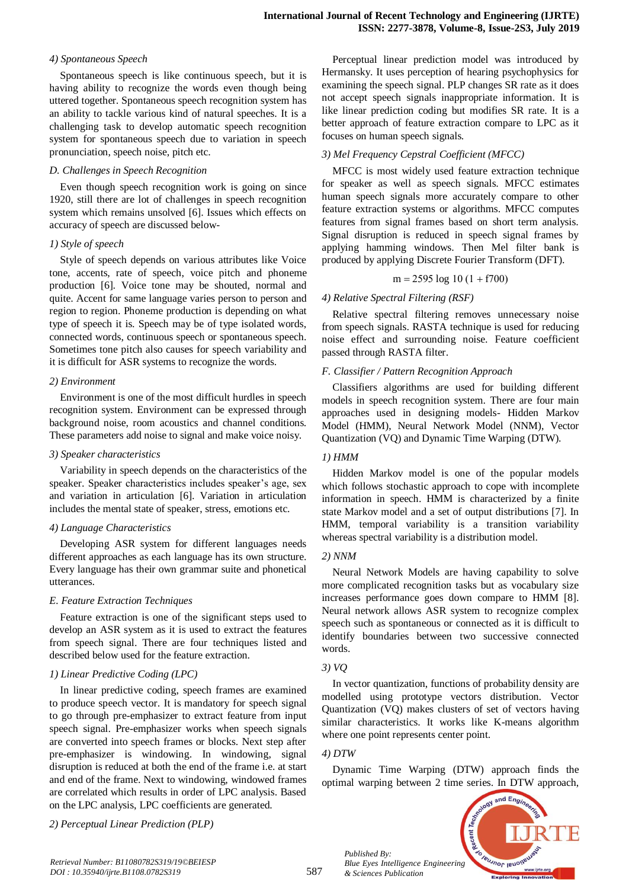#### *4) Spontaneous Speech*

Spontaneous speech is like continuous speech, but it is having ability to recognize the words even though being uttered together. Spontaneous speech recognition system has an ability to tackle various kind of natural speeches. It is a challenging task to develop automatic speech recognition system for spontaneous speech due to variation in speech pronunciation, speech noise, pitch etc.

#### *D. Challenges in Speech Recognition*

Even though speech recognition work is going on since 1920, still there are lot of challenges in speech recognition system which remains unsolved [6]. Issues which effects on accuracy of speech are discussed below-

#### *1) Style of speech*

Style of speech depends on various attributes like Voice tone, accents, rate of speech, voice pitch and phoneme production [6]. Voice tone may be shouted, normal and quite. Accent for same language varies person to person and region to region. Phoneme production is depending on what type of speech it is. Speech may be of type isolated words, connected words, continuous speech or spontaneous speech. Sometimes tone pitch also causes for speech variability and it is difficult for ASR systems to recognize the words.

### *2) Environment*

Environment is one of the most difficult hurdles in speech recognition system. Environment can be expressed through background noise, room acoustics and channel conditions. These parameters add noise to signal and make voice noisy.

### *3) Speaker characteristics*

Variability in speech depends on the characteristics of the speaker. Speaker characteristics includes speaker's age, sex and variation in articulation [6]. Variation in articulation includes the mental state of speaker, stress, emotions etc.

### *4) Language Characteristics*

Developing ASR system for different languages needs different approaches as each language has its own structure. Every language has their own grammar suite and phonetical utterances.

### *E. Feature Extraction Techniques*

Feature extraction is one of the significant steps used to develop an ASR system as it is used to extract the features from speech signal. There are four techniques listed and described below used for the feature extraction.

### *1) Linear Predictive Coding (LPC)*

In linear predictive coding, speech frames are examined to produce speech vector. It is mandatory for speech signal to go through pre-emphasizer to extract feature from input speech signal. Pre-emphasizer works when speech signals are converted into speech frames or blocks. Next step after pre-emphasizer is windowing. In windowing, signal disruption is reduced at both the end of the frame i.e. at start and end of the frame. Next to windowing, windowed frames are correlated which results in order of LPC analysis. Based on the LPC analysis, LPC coefficients are generated.

*2) Perceptual Linear Prediction (PLP)*

Perceptual linear prediction model was introduced by Hermansky. It uses perception of hearing psychophysics for examining the speech signal. PLP changes SR rate as it does not accept speech signals inappropriate information. It is like linear prediction coding but modifies SR rate. It is a better approach of feature extraction compare to LPC as it focuses on human speech signals.

## *3) Mel Frequency Cepstral Coefficient (MFCC)*

MFCC is most widely used feature extraction technique for speaker as well as speech signals. MFCC estimates human speech signals more accurately compare to other feature extraction systems or algorithms. MFCC computes features from signal frames based on short term analysis. Signal disruption is reduced in speech signal frames by applying hamming windows. Then Mel filter bank is produced by applying Discrete Fourier Transform (DFT).

$$
m = 2595 \log 10 (1 + f700)
$$

### *4) Relative Spectral Filtering (RSF)*

Relative spectral filtering removes unnecessary noise from speech signals. RASTA technique is used for reducing noise effect and surrounding noise. Feature coefficient passed through RASTA filter.

### *F. Classifier / Pattern Recognition Approach*

Classifiers algorithms are used for building different models in speech recognition system. There are four main approaches used in designing models- Hidden Markov Model (HMM), Neural Network Model (NNM), Vector Quantization (VQ) and Dynamic Time Warping (DTW).

## *1) HMM*

Hidden Markov model is one of the popular models which follows stochastic approach to cope with incomplete information in speech. HMM is characterized by a finite state Markov model and a set of output distributions [7]. In HMM, temporal variability is a transition variability whereas spectral variability is a distribution model.

### *2) NNM*

Neural Network Models are having capability to solve more complicated recognition tasks but as vocabulary size increases performance goes down compare to HMM [8]. Neural network allows ASR system to recognize complex speech such as spontaneous or connected as it is difficult to identify boundaries between two successive connected words.

### *3) VQ*

In vector quantization, functions of probability density are modelled using prototype vectors distribution. Vector Quantization (VQ) makes clusters of set of vectors having similar characteristics. It works like K-means algorithm where one point represents center point.

### *4) DTW*

*Published By:*

*& Sciences Publication* 

Dynamic Time Warping (DTW) approach finds the optimal warping between 2 time series. In DTW approach,

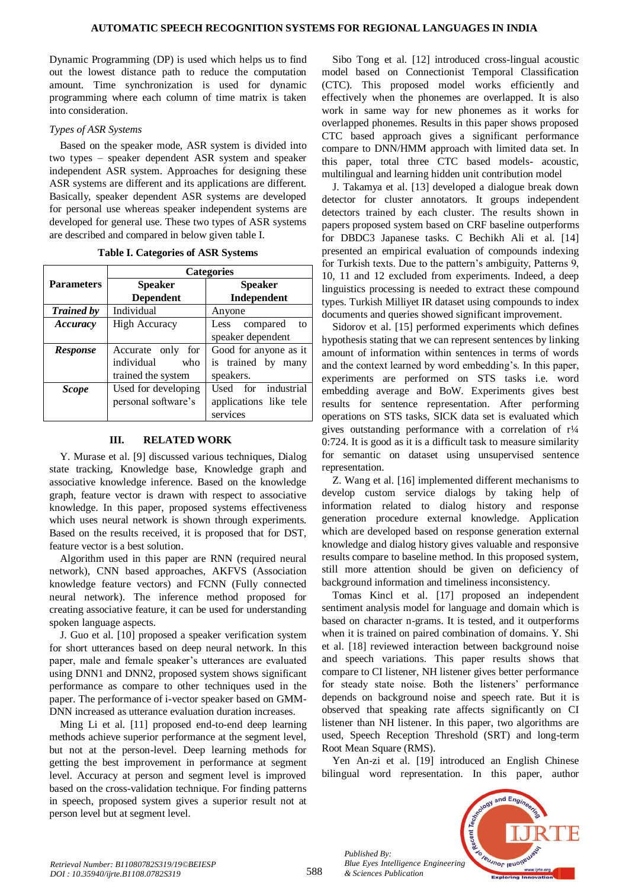Dynamic Programming (DP) is used which helps us to find out the lowest distance path to reduce the computation amount. Time synchronization is used for dynamic programming where each column of time matrix is taken into consideration.

## *Types of ASR Systems*

Based on the speaker mode, ASR system is divided into two types – speaker dependent ASR system and speaker independent ASR system. Approaches for designing these ASR systems are different and its applications are different. Basically, speaker dependent ASR systems are developed for personal use whereas speaker independent systems are developed for general use. These two types of ASR systems are described and compared in below given table I.

|                   | <b>Categories</b>                |                        |  |
|-------------------|----------------------------------|------------------------|--|
| <b>Parameters</b> | <b>Speaker</b><br><b>Speaker</b> |                        |  |
|                   | <b>Dependent</b>                 | Independent            |  |
| <b>Trained by</b> | Individual                       | Anyone                 |  |
| Accuracy          | <b>High Accuracy</b>             | compared<br>Less<br>to |  |
|                   |                                  | speaker dependent      |  |
| <b>Response</b>   | Accurate only<br>for             | Good for anyone as it  |  |
|                   | individual<br>who                | is trained by many     |  |
|                   | trained the system               | speakers.              |  |
| <b>Scope</b>      | Used for developing              | Used for industrial    |  |
|                   | personal software's              | applications like tele |  |
|                   |                                  | services               |  |

**Table I. Categories of ASR Systems**

# **III. RELATED WORK**

Y. Murase et al. [9] discussed various techniques, Dialog state tracking, Knowledge base, Knowledge graph and associative knowledge inference. Based on the knowledge graph, feature vector is drawn with respect to associative knowledge. In this paper, proposed systems effectiveness which uses neural network is shown through experiments. Based on the results received, it is proposed that for DST, feature vector is a best solution.

Algorithm used in this paper are RNN (required neural network), CNN based approaches, AKFVS (Association knowledge feature vectors) and FCNN (Fully connected neural network). The inference method proposed for creating associative feature, it can be used for understanding spoken language aspects.

J. Guo et al. [10] proposed a speaker verification system for short utterances based on deep neural network. In this paper, male and female speaker's utterances are evaluated using DNN1 and DNN2, proposed system shows significant performance as compare to other techniques used in the paper. The performance of i-vector speaker based on GMM-DNN increased as utterance evaluation duration increases.

Ming Li et al. [11] proposed end-to-end deep learning methods achieve superior performance at the segment level, but not at the person-level. Deep learning methods for getting the best improvement in performance at segment level. Accuracy at person and segment level is improved based on the cross-validation technique. For finding patterns in speech, proposed system gives a superior result not at person level but at segment level.

Sibo Tong et al. [12] introduced cross-lingual acoustic model based on Connectionist Temporal Classification (CTC). This proposed model works efficiently and effectively when the phonemes are overlapped. It is also work in same way for new phonemes as it works for overlapped phonemes. Results in this paper shows proposed CTC based approach gives a significant performance compare to DNN/HMM approach with limited data set. In this paper, total three CTC based models- acoustic, multilingual and learning hidden unit contribution model

J. Takamya et al. [13] developed a dialogue break down detector for cluster annotators. It groups independent detectors trained by each cluster. The results shown in papers proposed system based on CRF baseline outperforms for DBDC3 Japanese tasks. C Bechikh Ali et al. [14] presented an empirical evaluation of compounds indexing for Turkish texts. Due to the pattern's ambiguity, Patterns 9, 10, 11 and 12 excluded from experiments. Indeed, a deep linguistics processing is needed to extract these compound types. Turkish Milliyet IR dataset using compounds to index documents and queries showed significant improvement.

Sidorov et al. [15] performed experiments which defines hypothesis stating that we can represent sentences by linking amount of information within sentences in terms of words and the context learned by word embedding's. In this paper, experiments are performed on STS tasks i.e. word embedding average and BoW. Experiments gives best results for sentence representation. After performing operations on STS tasks, SICK data set is evaluated which gives outstanding performance with a correlation of  $r\frac{1}{4}$ 0:724. It is good as it is a difficult task to measure similarity for semantic on dataset using unsupervised sentence representation.

Z. Wang et al. [16] implemented different mechanisms to develop custom service dialogs by taking help of information related to dialog history and response generation procedure external knowledge. Application which are developed based on response generation external knowledge and dialog history gives valuable and responsive results compare to baseline method. In this proposed system, still more attention should be given on deficiency of background information and timeliness inconsistency.

Tomas Kincl et al. [17] proposed an independent sentiment analysis model for language and domain which is based on character n-grams. It is tested, and it outperforms when it is trained on paired combination of domains. Y. Shi et al. [18] reviewed interaction between background noise and speech variations. This paper results shows that compare to CI listener, NH listener gives better performance for steady state noise. Both the listeners' performance depends on background noise and speech rate. But it is observed that speaking rate affects significantly on CI listener than NH listener. In this paper, two algorithms are used, Speech Reception Threshold (SRT) and long-term Root Mean Square (RMS).

Yen An-zi et al. [19] introduced an English Chinese bilingual word representation. In this paper, author



*Published By:*

*& Sciences Publication*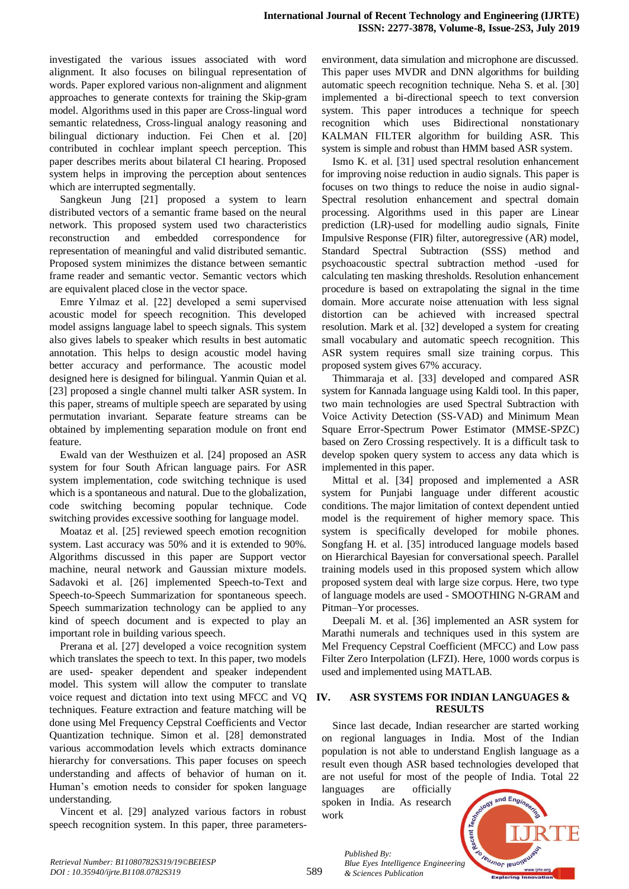investigated the various issues associated with word alignment. It also focuses on bilingual representation of words. Paper explored various non-alignment and alignment approaches to generate contexts for training the Skip-gram model. Algorithms used in this paper are Cross-lingual word semantic relatedness, Cross-lingual analogy reasoning and bilingual dictionary induction. Fei Chen et al. [20] contributed in cochlear implant speech perception. This paper describes merits about bilateral CI hearing. Proposed system helps in improving the perception about sentences which are interrupted segmentally.

Sangkeun Jung [21] proposed a system to learn distributed vectors of a semantic frame based on the neural network. This proposed system used two characteristics reconstruction and embedded correspondence for representation of meaningful and valid distributed semantic. Proposed system minimizes the distance between semantic frame reader and semantic vector. Semantic vectors which are equivalent placed close in the vector space.

Emre Yılmaz et al. [22] developed a semi supervised acoustic model for speech recognition. This developed model assigns language label to speech signals. This system also gives labels to speaker which results in best automatic annotation. This helps to design acoustic model having better accuracy and performance. The acoustic model designed here is designed for bilingual. Yanmin Quian et al. [23] proposed a single channel multi talker ASR system. In this paper, streams of multiple speech are separated by using permutation invariant. Separate feature streams can be obtained by implementing separation module on front end feature.

Ewald van der Westhuizen et al. [24] proposed an ASR system for four South African language pairs. For ASR system implementation, code switching technique is used which is a spontaneous and natural. Due to the globalization, code switching becoming popular technique. Code switching provides excessive soothing for language model.

Moataz et al. [25] reviewed speech emotion recognition system. Last accuracy was 50% and it is extended to 90%. Algorithms discussed in this paper are Support vector machine, neural network and Gaussian mixture models. Sadavoki et al. [26] implemented Speech-to-Text and Speech-to-Speech Summarization for spontaneous speech. Speech summarization technology can be applied to any kind of speech document and is expected to play an important role in building various speech.

Prerana et al. [27] developed a voice recognition system which translates the speech to text. In this paper, two models are used- speaker dependent and speaker independent model. This system will allow the computer to translate voice request and dictation into text using MFCC and VQ techniques. Feature extraction and feature matching will be done using Mel Frequency Cepstral Coefficients and Vector Quantization technique. Simon et al. [28] demonstrated various accommodation levels which extracts dominance hierarchy for conversations. This paper focuses on speech understanding and affects of behavior of human on it. Human's emotion needs to consider for spoken language understanding.

Vincent et al. [29] analyzed various factors in robust speech recognition system. In this paper, three parametersenvironment, data simulation and microphone are discussed. This paper uses MVDR and DNN algorithms for building automatic speech recognition technique. Neha S. et al. [30] implemented a bi-directional speech to text conversion system. This paper introduces a technique for speech recognition which uses Bidirectional nonstationary KALMAN FILTER algorithm for building ASR. This system is simple and robust than HMM based ASR system.

Ismo K. et al. [31] used spectral resolution enhancement for improving noise reduction in audio signals. This paper is focuses on two things to reduce the noise in audio signal-Spectral resolution enhancement and spectral domain processing. Algorithms used in this paper are Linear prediction (LR)-used for modelling audio signals, Finite Impulsive Response (FIR) filter, autoregressive (AR) model, Standard Spectral Subtraction (SSS) method and psychoacoustic spectral subtraction method -used for calculating ten masking thresholds. Resolution enhancement procedure is based on extrapolating the signal in the time domain. More accurate noise attenuation with less signal distortion can be achieved with increased spectral resolution. Mark et al. [32] developed a system for creating small vocabulary and automatic speech recognition. This ASR system requires small size training corpus. This proposed system gives 67% accuracy.

Thimmaraja et al. [33] developed and compared ASR system for Kannada language using Kaldi tool. In this paper, two main technologies are used Spectral Subtraction with Voice Activity Detection (SS-VAD) and Minimum Mean Square Error-Spectrum Power Estimator (MMSE-SPZC) based on Zero Crossing respectively. It is a difficult task to develop spoken query system to access any data which is implemented in this paper.

Mittal et al. [34] proposed and implemented a ASR system for Punjabi language under different acoustic conditions. The major limitation of context dependent untied model is the requirement of higher memory space. This system is specifically developed for mobile phones. Songfang H. et al. [35] introduced language models based on Hierarchical Bayesian for conversational speech. Parallel training models used in this proposed system which allow proposed system deal with large size corpus. Here, two type of language models are used - SMOOTHING N-GRAM and Pitman–Yor processes.

Deepali M. et al. [36] implemented an ASR system for Marathi numerals and techniques used in this system are Mel Frequency Cepstral Coefficient (MFCC) and Low pass Filter Zero Interpolation (LFZI). Here, 1000 words corpus is used and implemented using MATLAB.

### **IV. ASR SYSTEMS FOR INDIAN LANGUAGES & RESULTS**

Since last decade, Indian researcher are started working on regional languages in India. Most of the Indian population is not able to understand English language as a result even though ASR based technologies developed that are not useful for most of the people of India. Total 22

languages are officially spoken in India. As research work

*& Sciences Publication* 

*Published By:*

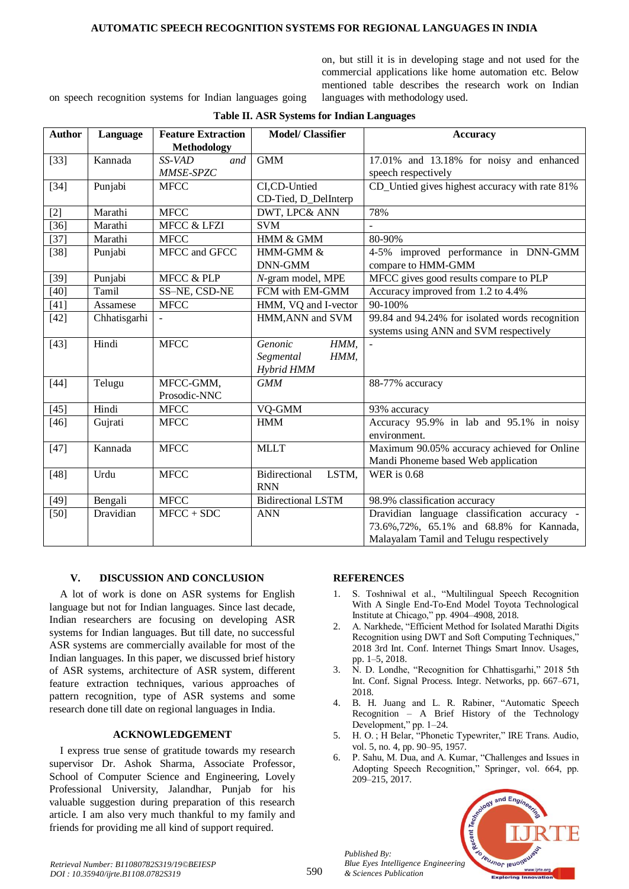#### **AUTOMATIC SPEECH RECOGNITION SYSTEMS FOR REGIONAL LANGUAGES IN INDIA**

on, but still it is in developing stage and not used for the commercial applications like home automation etc. Below mentioned table describes the research work on Indian languages with methodology used.

on speech recognition systems for Indian languages going

| <b>Author</b> | Language     | <b>Feature Extraction</b> | <b>Model/ Classifier</b>  | <b>Accuracy</b>                                 |
|---------------|--------------|---------------------------|---------------------------|-------------------------------------------------|
|               |              | Methodology               |                           |                                                 |
| $[33]$        | Kannada      | SS-VAD<br>and             | <b>GMM</b>                | 17.01% and 13.18% for noisy and enhanced        |
|               |              | MMSE-SPZC                 |                           | speech respectively                             |
| $[34]$        | Punjabi      | <b>MFCC</b>               | CI,CD-Untied              | CD_Untied gives highest accuracy with rate 81%  |
|               |              |                           | CD-Tied, D_DelInterp      |                                                 |
| $[2]$         | Marathi      | <b>MFCC</b>               | DWT, LPC& ANN             | 78%                                             |
| $[36]$        | Marathi      | <b>MFCC &amp; LFZI</b>    | <b>SVM</b>                |                                                 |
| $[37]$        | Marathi      | <b>MFCC</b>               | HMM & GMM                 | 80-90%                                          |
| $[38]$        | Punjabi      | MFCC and GFCC             | HMM-GMM &                 | 4-5% improved performance in DNN-GMM            |
|               |              |                           | DNN-GMM                   | compare to HMM-GMM                              |
| $[39]$        | Punjabi      | MFCC & PLP                | N-gram model, MPE         | MFCC gives good results compare to PLP          |
| $[40]$        | Tamil        | SS-NE, CSD-NE             | FCM with EM-GMM           | Accuracy improved from 1.2 to 4.4%              |
| $[41]$        | Assamese     | <b>MFCC</b>               | HMM, VQ and I-vector      | 90-100%                                         |
| $[42]$        | Chhatisgarhi | $\sim$                    | HMM, ANN and SVM          | 99.84 and 94.24% for isolated words recognition |
|               |              |                           |                           | systems using ANN and SVM respectively          |
| $[43]$        | Hindi        | <b>MFCC</b>               | HMM,<br>Genonic           |                                                 |
|               |              |                           | Segmental<br>HMM,         |                                                 |
|               |              |                           | Hybrid HMM                |                                                 |
| $[44]$        | Telugu       | MFCC-GMM,                 | <b>GMM</b>                | 88-77% accuracy                                 |
|               |              | Prosodic-NNC              |                           |                                                 |
| $[45]$        | Hindi        | <b>MFCC</b>               | VQ-GMM                    | 93% accuracy                                    |
| $[46]$        | Gujrati      | <b>MFCC</b>               | <b>HMM</b>                | Accuracy 95.9% in lab and 95.1% in noisy        |
|               |              |                           |                           | environment.                                    |
| $[47]$        | Kannada      | <b>MFCC</b>               | <b>MLLT</b>               | Maximum 90.05% accuracy achieved for Online     |
|               |              |                           |                           | Mandi Phoneme based Web application             |
| $[48]$        | Urdu         | <b>MFCC</b>               | Bidirectional<br>LSTM,    | <b>WER</b> is 0.68                              |
|               |              |                           | <b>RNN</b>                |                                                 |
| $[49]$        | Bengali      | <b>MFCC</b>               | <b>Bidirectional LSTM</b> | 98.9% classification accuracy                   |
| $[50]$        | Dravidian    | $MFCC + SDC$              | <b>ANN</b>                | Dravidian language classification accuracy -    |
|               |              |                           |                           | 73.6%, 72%, 65.1% and 68.8% for Kannada,        |
|               |              |                           |                           | Malayalam Tamil and Telugu respectively         |

## **Table II. ASR Systems for Indian Languages**

### **V. DISCUSSION AND CONCLUSION**

A lot of work is done on ASR systems for English language but not for Indian languages. Since last decade, Indian researchers are focusing on developing ASR systems for Indian languages. But till date, no successful ASR systems are commercially available for most of the Indian languages. In this paper, we discussed brief history of ASR systems, architecture of ASR system, different feature extraction techniques, various approaches of pattern recognition, type of ASR systems and some research done till date on regional languages in India.

## **ACKNOWLEDGEMENT**

I express true sense of gratitude towards my research supervisor Dr. Ashok Sharma, Associate Professor, School of Computer Science and Engineering, Lovely Professional University, Jalandhar, Punjab for his valuable suggestion during preparation of this research article. I am also very much thankful to my family and friends for providing me all kind of support required.

### **REFERENCES**

- 1. S. Toshniwal et al., "Multilingual Speech Recognition With A Single End-To-End Model Toyota Technological Institute at Chicago," pp. 4904–4908, 2018.
- 2. A. Narkhede, "Efficient Method for Isolated Marathi Digits Recognition using DWT and Soft Computing Techniques," 2018 3rd Int. Conf. Internet Things Smart Innov. Usages, pp. 1–5, 2018.
- 3. N. D. Londhe, "Recognition for Chhattisgarhi," 2018 5th Int. Conf. Signal Process. Integr. Networks, pp. 667–671, 2018.
- 4. B. H. Juang and L. R. Rabiner, "Automatic Speech Recognition – A Brief History of the Technology Development," pp. 1–24.
- 5. H. O. ; H Belar, "Phonetic Typewriter," IRE Trans. Audio, vol. 5, no. 4, pp. 90–95, 1957.
- 6. P. Sahu, M. Dua, and A. Kumar, "Challenges and Issues in Adopting Speech Recognition," Springer, vol. 664, pp. 209–215, 2017.



*Published By: Blue Eyes Intelligence Engineering & Sciences Publication*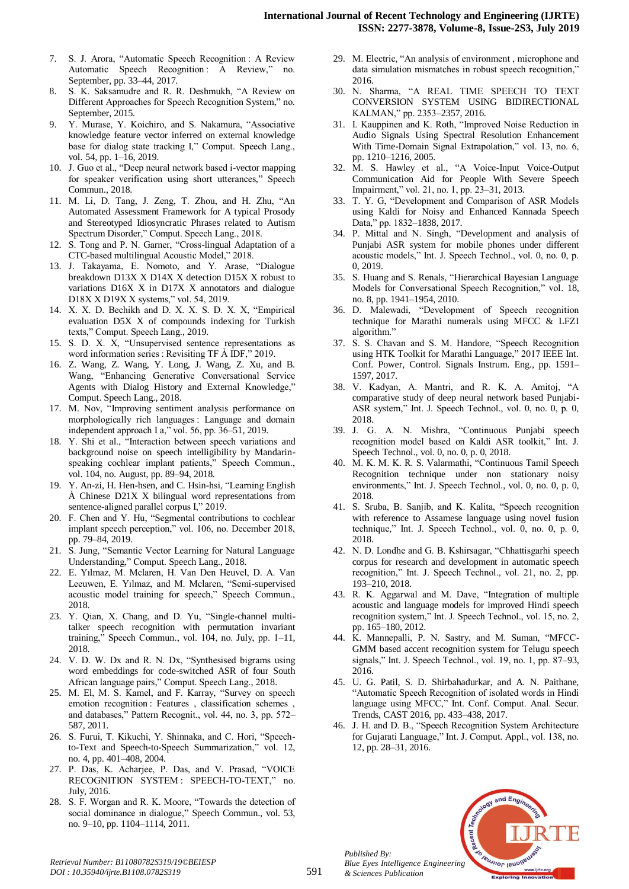- 7. S. J. Arora, "Automatic Speech Recognition : A Review Automatic Speech Recognition : A Review," no. September, pp. 33–44, 2017.
- 8. S. K. Saksamudre and R. R. Deshmukh, "A Review on Different Approaches for Speech Recognition System," no. September, 2015.
- 9. Y. Murase, Y. Koichiro, and S. Nakamura, "Associative knowledge feature vector inferred on external knowledge base for dialog state tracking I," Comput. Speech Lang., vol. 54, pp. 1–16, 2019.
- 10. J. Guo et al., "Deep neural network based i-vector mapping for speaker verification using short utterances," Speech Commun., 2018.
- 11. M. Li, D. Tang, J. Zeng, T. Zhou, and H. Zhu, "An Automated Assessment Framework for A typical Prosody and Stereotyped Idiosyncratic Phrases related to Autism Spectrum Disorder," Comput. Speech Lang., 2018.
- 12. S. Tong and P. N. Garner, "Cross-lingual Adaptation of a CTC-based multilingual Acoustic Model," 2018.
- 13. J. Takayama, E. Nomoto, and Y. Arase, "Dialogue breakdown D13X X D14X X detection D15X X robust to variations D16X X in D17X X annotators and dialogue D18X X D19X X systems," vol. 54, 2019.
- 14. X. X. D. Bechikh and D. X. X. S. D. X. X, "Empirical evaluation D5X X of compounds indexing for Turkish texts," Comput. Speech Lang., 2019.
- 5. D. X.  $\hat{X}$ , "Unsupervised sentence representations as word information series : Revisiting TF À IDF," 2019.
- 16. Z. Wang, Z. Wang, Y. Long, J. Wang, Z. Xu, and B. Wang, "Enhancing Generative Conversational Service Agents with Dialog History and External Knowledge," Comput. Speech Lang., 2018.
- 17. M. Nov, "Improving sentiment analysis performance on morphologically rich languages : Language and domain independent approach I a," vol. 56, pp. 36–51, 2019.
- 18. Y. Shi et al., "Interaction between speech variations and background noise on speech intelligibility by Mandarinspeaking cochlear implant patients," Speech Commun., vol. 104, no. August, pp. 89–94, 2018.
- 19. Y. An-zi, H. Hen-hsen, and C. Hsin-hsi, "Learning English À Chinese D21X X bilingual word representations from sentence-aligned parallel corpus I," 2019.
- 20. F. Chen and Y. Hu, "Segmental contributions to cochlear implant speech perception," vol. 106, no. December 2018, pp. 79–84, 2019.
- 21. S. Jung, "Semantic Vector Learning for Natural Language Understanding," Comput. Speech Lang., 2018.
- 22. E. Yılmaz, M. Mclaren, H. Van Den Heuvel, D. A. Van Leeuwen, E. Yılmaz, and M. Mclaren, "Semi-supervised acoustic model training for speech," Speech Commun., 2018.
- 23. Y. Qian, X. Chang, and D. Yu, "Single-channel multitalker speech recognition with permutation invariant training," Speech Commun., vol. 104, no. July, pp. 1–11, 2018.
- 24. V. D. W. Dx and R. N. Dx, "Synthesised bigrams using word embeddings for code-switched ASR of four South African language pairs," Comput. Speech Lang., 2018.
- 25. M. El, M. S. Kamel, and F. Karray, "Survey on speech emotion recognition : Features , classification schemes , and databases," Pattern Recognit., vol. 44, no. 3, pp. 572– 587, 2011.
- 26. S. Furui, T. Kikuchi, Y. Shinnaka, and C. Hori, "Speechto-Text and Speech-to-Speech Summarization," vol. 12, no. 4, pp. 401–408, 2004.
- 27. P. Das, K. Acharjee, P. Das, and V. Prasad, "VOICE RECOGNITION SYSTEM : SPEECH-TO-TEXT," no. July, 2016.
- 28. S. F. Worgan and R. K. Moore, "Towards the detection of social dominance in dialogue," Speech Commun., vol. 53, no. 9–10, pp. 1104–1114, 2011.
- 29. M. Electric, "An analysis of environment , microphone and data simulation mismatches in robust speech recognition," 2016.
- 30. N. Sharma, "A REAL TIME SPEECH TO TEXT CONVERSION SYSTEM USING BIDIRECTIONAL KALMAN," pp. 2353–2357, 2016.
- 31. I. Kauppinen and K. Roth, "Improved Noise Reduction in Audio Signals Using Spectral Resolution Enhancement With Time-Domain Signal Extrapolation," vol. 13, no. 6, pp. 1210–1216, 2005.
- 32. M. S. Hawley et al., "A Voice-Input Voice-Output Communication Aid for People With Severe Speech Impairment," vol. 21, no. 1, pp. 23–31, 2013.
- 33. T. Y. G, "Development and Comparison of ASR Models using Kaldi for Noisy and Enhanced Kannada Speech Data," pp. 1832–1838, 2017.
- 34. P. Mittal and N. Singh, "Development and analysis of Punjabi ASR system for mobile phones under different acoustic models," Int. J. Speech Technol., vol. 0, no. 0, p. 0, 2019.
- 35. S. Huang and S. Renals, "Hierarchical Bayesian Language Models for Conversational Speech Recognition," vol. 18, no. 8, pp. 1941–1954, 2010.
- 36. D. Malewadi, "Development of Speech recognition technique for Marathi numerals using MFCC & LFZI algorithm."
- 37. S. S. Chavan and S. M. Handore, "Speech Recognition using HTK Toolkit for Marathi Language," 2017 IEEE Int. Conf. Power, Control. Signals Instrum. Eng., pp. 1591– 1597, 2017.
- 38. V. Kadyan, A. Mantri, and R. K. A. Amitoj, "A comparative study of deep neural network based Punjabi-ASR system," Int. J. Speech Technol., vol. 0, no. 0, p. 0, 2018.
- 39. J. G. A. N. Mishra, "Continuous Punjabi speech recognition model based on Kaldi ASR toolkit," Int. J. Speech Technol., vol. 0, no. 0, p. 0, 2018.
- 40. M. K. M. K. R. S. Valarmathi, "Continuous Tamil Speech Recognition technique under non stationary noisy environments," Int. J. Speech Technol., vol. 0, no. 0, p. 0, 2018.
- 41. S. Sruba, B. Sanjib, and K. Kalita, "Speech recognition with reference to Assamese language using novel fusion technique," Int. J. Speech Technol., vol. 0, no. 0, p. 0, 2018.
- 42. N. D. Londhe and G. B. Kshirsagar, "Chhattisgarhi speech corpus for research and development in automatic speech recognition," Int. J. Speech Technol., vol. 21, no. 2, pp. 193–210, 2018.
- 43. R. K. Aggarwal and M. Dave, "Integration of multiple acoustic and language models for improved Hindi speech recognition system," Int. J. Speech Technol., vol. 15, no. 2, pp. 165–180, 2012.
- 44. K. Mannepalli, P. N. Sastry, and M. Suman, "MFCC-GMM based accent recognition system for Telugu speech signals," Int. J. Speech Technol., vol. 19, no. 1, pp. 87–93, 2016.
- 45. U. G. Patil, S. D. Shirbahadurkar, and A. N. Paithane, "Automatic Speech Recognition of isolated words in Hindi language using MFCC," Int. Conf. Comput. Anal. Secur. Trends, CAST 2016, pp. 433–438, 2017.
- 46. J. H. and D. B., "Speech Recognition System Architecture for Gujarati Language," Int. J. Comput. Appl., vol. 138, no. 12, pp. 28–31, 2016.



*Published By:*

*& Sciences Publication*